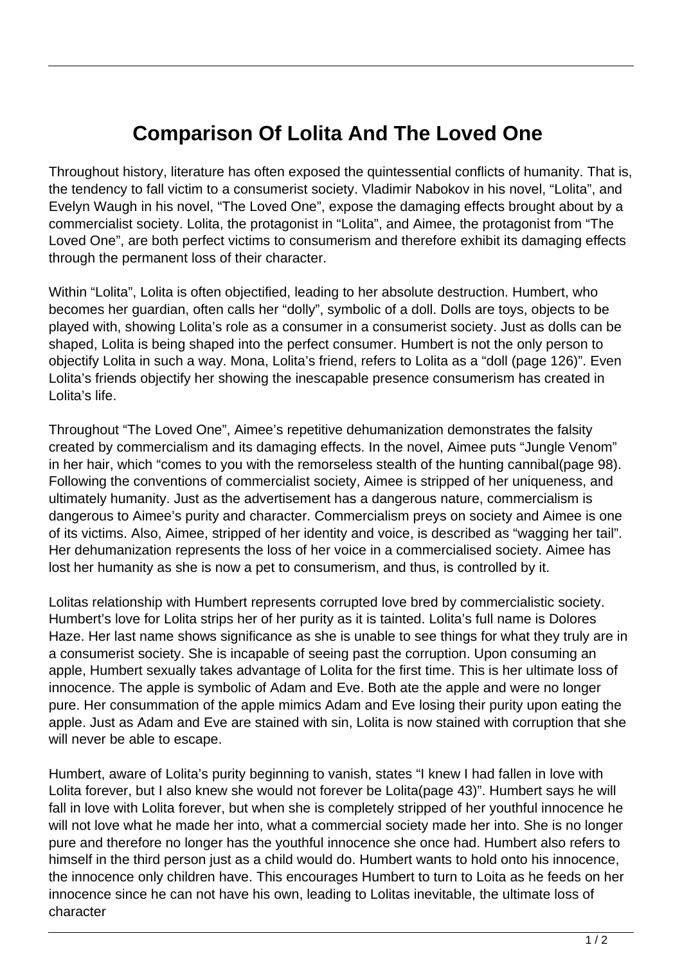## **Comparison Of Lolita And The Loved One**

Throughout history, literature has often exposed the quintessential conflicts of humanity. That is, the tendency to fall victim to a consumerist society. Vladimir Nabokov in his novel, "Lolita", and Evelyn Waugh in his novel, "The Loved One", expose the damaging effects brought about by a commercialist society. Lolita, the protagonist in "Lolita", and Aimee, the protagonist from "The Loved One", are both perfect victims to consumerism and therefore exhibit its damaging effects through the permanent loss of their character.

Within "Lolita", Lolita is often objectified, leading to her absolute destruction. Humbert, who becomes her guardian, often calls her "dolly", symbolic of a doll. Dolls are toys, objects to be played with, showing Lolita's role as a consumer in a consumerist society. Just as dolls can be shaped, Lolita is being shaped into the perfect consumer. Humbert is not the only person to objectify Lolita in such a way. Mona, Lolita's friend, refers to Lolita as a "doll (page 126)". Even Lolita's friends objectify her showing the inescapable presence consumerism has created in Lolita's life.

Throughout "The Loved One", Aimee's repetitive dehumanization demonstrates the falsity created by commercialism and its damaging effects. In the novel, Aimee puts "Jungle Venom" in her hair, which "comes to you with the remorseless stealth of the hunting cannibal(page 98). Following the conventions of commercialist society, Aimee is stripped of her uniqueness, and ultimately humanity. Just as the advertisement has a dangerous nature, commercialism is dangerous to Aimee's purity and character. Commercialism preys on society and Aimee is one of its victims. Also, Aimee, stripped of her identity and voice, is described as "wagging her tail". Her dehumanization represents the loss of her voice in a commercialised society. Aimee has lost her humanity as she is now a pet to consumerism, and thus, is controlled by it.

Lolitas relationship with Humbert represents corrupted love bred by commercialistic society. Humbert's love for Lolita strips her of her purity as it is tainted. Lolita's full name is Dolores Haze. Her last name shows significance as she is unable to see things for what they truly are in a consumerist society. She is incapable of seeing past the corruption. Upon consuming an apple, Humbert sexually takes advantage of Lolita for the first time. This is her ultimate loss of innocence. The apple is symbolic of Adam and Eve. Both ate the apple and were no longer pure. Her consummation of the apple mimics Adam and Eve losing their purity upon eating the apple. Just as Adam and Eve are stained with sin, Lolita is now stained with corruption that she will never be able to escape.

Humbert, aware of Lolita's purity beginning to vanish, states "I knew I had fallen in love with Lolita forever, but I also knew she would not forever be Lolita(page 43)". Humbert says he will fall in love with Lolita forever, but when she is completely stripped of her youthful innocence he will not love what he made her into, what a commercial society made her into. She is no longer pure and therefore no longer has the youthful innocence she once had. Humbert also refers to himself in the third person just as a child would do. Humbert wants to hold onto his innocence, the innocence only children have. This encourages Humbert to turn to Loita as he feeds on her innocence since he can not have his own, leading to Lolitas inevitable, the ultimate loss of character